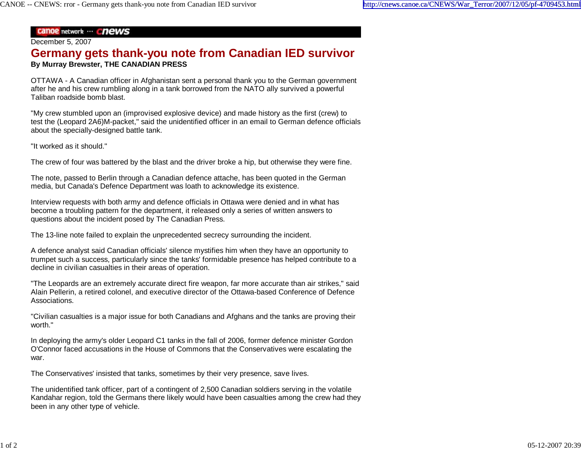## **Canoe network ... Chews**

## December 5, 2007

## **Germany gets thank-you note from Canadian IED survivor By Murray Brewster, THE CANADIAN PRESS**

OTTAWA - A Canadian officer in Afghanistan sent a personal thank you to the German government after he and his crew rumbling along in a tank borrowed from the NATO ally survived a powerful Taliban roadside bomb blast.

"My crew stumbled upon an (improvised explosive device) and made history as the first (crew) to test the (Leopard 2A6)M-packet," said the unidentified officer in an email to German defence officials about the specially-designed battle tank.

"It worked as it should."

The crew of four was battered by the blast and the driver broke a hip, but otherwise they were fine.

The note, passed to Berlin through a Canadian defence attache, has been quoted in the German media, but Canada's Defence Department was loath to acknowledge its existence.

Interview requests with both army and defence officials in Ottawa were denied and in what has become a troubling pattern for the department, it released only a series of written answers to questions about the incident posed by The Canadian Press.

The 13-line note failed to explain the unprecedented secrecy surrounding the incident.

A defence analyst said Canadian officials' silence mystifies him when they have an opportunity to trumpet such a success, particularly since the tanks' formidable presence has helped contribute to a decline in civilian casualties in their areas of operation.

"The Leopards are an extremely accurate direct fire weapon, far more accurate than air strikes," said Alain Pellerin, a retired colonel, and executive director of the Ottawa-based Conference of Defence Associations.

"Civilian casualties is a major issue for both Canadians and Afghans and the tanks are proving their worth."

In deploying the army's older Leopard C1 tanks in the fall of 2006, former defence minister Gordon O'Connor faced accusations in the House of Commons that the Conservatives were escalating the war.

The Conservatives' insisted that tanks, sometimes by their very presence, save lives.

The unidentified tank officer, part of a contingent of 2,500 Canadian soldiers serving in the volatile Kandahar region, told the Germans there likely would have been casualties among the crew had they been in any other type of vehicle.